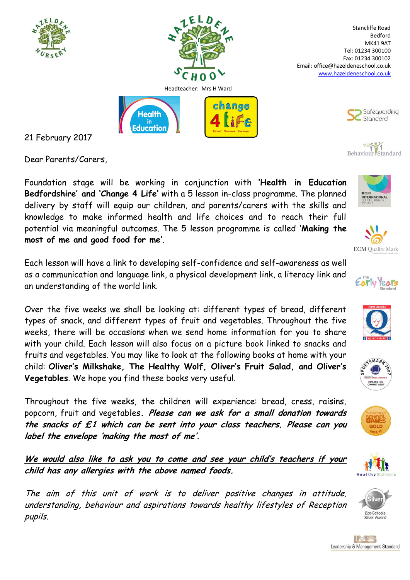



change

Stancliffe Road Bedford MK41 9AT Tel: 01234 300100 Fax: 01234 300102 Email: office@hazeldeneschool.co.uk [www.hazeldeneschool.co.uk](http://www.hazeldeneschool.co.uk/)



## The Behaviour Standard

21 February 2017

Dear Parents/Carers,

Foundation stage will be working in conjunction with **'Health in Education Bedfordshire' and 'Change 4 Life'** with a 5 lesson in-class programme. The planned delivery by staff will equip our children, and parents/carers with the skills and knowledge to make informed health and life choices and to reach their full potential via meaningful outcomes. The 5 lesson programme is called **'Making the most of me and good food for me'**.

**Health** 

lin Education

Each lesson will have a link to developing self-confidence and self-awareness as well as a communication and language link, a physical development link, a literacy link and an understanding of the world link.

Over the five weeks we shall be looking at: different types of bread, different types of snack, and different types of fruit and vegetables. Throughout the five weeks, there will be occasions when we send home information for you to share with your child. Each lesson will also focus on a picture book linked to snacks and fruits and vegetables. You may like to look at the following books at home with your child: **Oliver's Milkshake, The Healthy Wolf, Oliver's Fruit Salad, and Oliver's Vegetables**. We hope you find these books very useful.

Throughout the five weeks, the children will experience: bread, cress, raisins, popcorn, fruit and vegetables**. Please can we ask for a small donation towards the snacks of £1 which can be sent into your class teachers. Please can you label the envelope 'making the most of me'.**

**We would also like to ask you to come and see your child's teachers if your child has any allergies with the above named foods.** 

The aim of this unit of work is to deliver positive changes in attitude, understanding, behaviour and aspirations towards healthy lifestyles of Reception pupils.